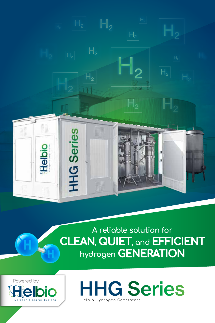

**A reliable solution for CLEAN, QUIET, and EFFICIENT hydrogen GENERATION**



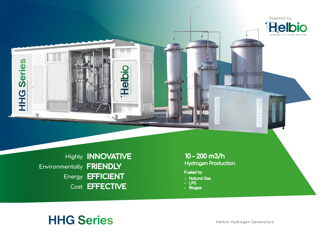

**Highly INNOVATIVE Environmentally FRIENDLY Energy EFFICIENT Cost EFFECTIVE**

10 – 200 m3/h Hydrogen Production

Fueled by

- Natural Gas
- LPG
- Biogas

# **HHG Series**

Helbio Hydrogen Generators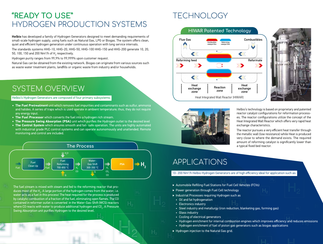### **"READY TO USE"**  HYDROGEN PRODUCTION SYSTEMS

**Helbio** has developed a family of Hydrogen Generators designed to meet demanding requirements of small-scale hydrogen supply, using fuels such as Natural Gas, LPG or Biogas. The system offers clean, quiet and efficient hydrogen generation under continuous operation with long service intervals.

The standards systems HHG-10, HHG-20, HHG-50, HHG-100 HHG-150 and HHG-200 generate 10, 20, 50, 100, 150 and 200 Nm $^3\!/\!$ h of H $_2^{}$  respectively.

Hydrogen purity ranges from 99,9% to 99,999% upon customer request.

Natural Gas can be obtained from the existing network. Biogas can originate from various sources such as waste water treatment plants, landfills or organic waste from industry and/or households.

### SYSTEM OVERVIEW

#### Helbio's Hydrogen Generators are composed of four primary subsystems:

- **• The Fuel Pretreatment** unit which removes fuel impurities and contaminants such as sulfur, ammonia and halides. A series of traps which is used operate in ambient temperature; thus, they do not require any energy input.
- **• The Fuel Processor** which converts the fuel into a hydrogen rich stream.
- **• The Pressure Swing Absorption (PSA)** unit which purifies the Hydrogen outlet to the desired level
- **• The Control System** which ensures smooth and fail- safe operation. The units are highly automated with industrial grade PLC control systems and can operate autonomously and unattended. Remote monitoring and control are included.



The fuel stream is mixed with steam and fed to the reforming reactor that produces most of the H<sub>2</sub>. A large portion of the hydrogen comes from the water, i.e. water acts as a fuel in this process! The heat required for the process is produced by catalytic combustion of a fraction of the fuel, eliminating open flames. The CO contained in reformer outlet is converted in the Water-Gas-Shift (WCS) reactors where CO reacts with water to produce additional hydrogen and CO $_{\textrm{\tiny{2}}}$ . A Pressure Swing Absorption unit purifies Hydrogen to the desired level.

## **TECHNOLOGY**







Helbio's technology is based on proprietary and patented reactor catalyst configurations for reformation processes. The reactor configurations utilize the concept of the Heat Integrated Wall Reactor which offers very rapid heat exchange characteristics.

The reactor pursues a very efficient heat transfer through the metallic wall (low resistance) while Heat is produced very close to where the demand exists. The required amount of reforming catalyst is significantly lower than a typical fixed bed reactor.

### APPLICATIONS

#### 10- 200 Nm3 /h Helbio Hydrogen Generators are of high efficiency ideal for application such as:

- ‣ Automobile Refilling Fuel Stations for Fuel Cell Vehicles (FCVs)
- ‣ Power generation through Fuel Cell technology
- ‣ Industrial Processes requiring Hydrogen such as
- Oil and fat hydrogenation
- Electronics industry
- Steel industry and metallurgy (iron reduction, blanketing gas, forming gas)
- Glass industry
- Cooling of electrical generators
- Hydrogen enrichment for internal combustion engines which improves efficiency and reduces emissions
- Hydrogen enrichment of fuel of piston gas generators such as biogas applications
- ‣ Hydrogen injection to the Natural Gas grid.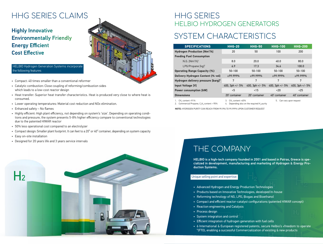# HHG SERIES CLAIMS

Highly Innovative Environmentally Friendly Energy Efficient Cost Effective



#### HELBIO Hydrogen Generation Systems incorporate the following features

- Compact: 40 times smaller than a conventional reformer
- Catalytic combustion: Close coupling of reforming/combustion sides which leads to a low-cost reactor design
- Heat transfer: Superior heat transfer characteristics. Heat is produced very close to where heat is consumed.
- Lower operating temperatures: Material cost reduction and NOx elimination.
- Enhanced safety No flames
- Highly efficient: High plant efficiency, not depending on system's 'size'. Depending on operating conditions and pressure, the system presents 5-8% higher efficiency compare to conventional technologies due to the patented HIWAR reactor
- 50% less operational cost compared to an electrolyzer
- Compact design: Smaller plant footprint. It can feet to a 20" or 40" container, depending on system capacity
- Easy on-site installation
- Designed for 20 years life and 3 years service intervals



### HHG SERIES HELBIO HYDROGEN GENERATORS

### SYSTEM CHARACTERISTICS

| <b>SPECIFICATIONS</b>                                                  | <b>HHG-20</b>             | <b>HHG-50</b>                                        | <b>HHG-100</b>              | <b>HHG-200</b>    |
|------------------------------------------------------------------------|---------------------------|------------------------------------------------------|-----------------------------|-------------------|
| <b>Hydrogen Production [Nm3/h]</b>                                     | 20                        | 50                                                   | 100                         | 200               |
| <b>Feeding Fuel Consumption</b>                                        |                           |                                                      |                             |                   |
| $N.G.$ $Nm^3/hl^1$                                                     | 8.0                       | 20.0                                                 | 40.0                        | 80.0              |
| LPG/Propane [ $kq$ ] <sup>2</sup>                                      | 6.9                       | 17.3                                                 | 34.6                        | 100.0             |
| <b>Operating Range Capacity (%)</b>                                    | $50 - 100$                | $50 - 100$                                           | $50 - 100$                  | $50 - 100$        |
| Delivery Hydrogen Content [% vol]                                      | $\geq$ 99.999%            | $\geq$ 99.999%                                       | $\geq$ 99.999%              | $\geq$ 99.999%    |
| Hydrogen delivery pressure [barg] <sup>5</sup>                         | 7                         | 7                                                    | 7                           | 7                 |
| <b>Input Voltage [V]</b>                                               | 400, $3ph +/- 5%$         | 400, $3ph +/- 5%$                                    | 400, $3ph +/- 5%$           | 400, $3ph +/- 5%$ |
| <b>Power consumption [kW]</b>                                          | $5$                       | < 15                                                 | $20$                        | $25$              |
| <b>Dimensions</b>                                                      | 20' container             | 20' container                                        | 40' container               | 40' container     |
| 1. $CH6$ content >91%<br>2. Commercial Propane, $C_3H_8$ content > 95% | 3. CH, content >65%<br>4. | Depending also on the required H <sub>2</sub> purity | 5.<br>Can vary upon request |                   |

**NOTE:** HYDROGEN PURITY CAN REACH FROM 99,996 TO 99,999% UPON CUSTOMER REQUEST

### THE COMPANY

HELBIO is a high-tech company founded in 2001 and based in Patras, Greece is specialized in development, manufacturing and marketing of Hydrogen & Energy Production Systems.

#### Unique selling point and expertise:

- Advanced Hydrogen and Energy Production Technologies
- Products based on Innovative Technologies, developed In-house
- Reforming technology of NG, LPG, Biogas and Bioethanol
- Compact and efficient reactor-catalyst configurations (patented HIWAR concept)
- Reaction engineering and Catalysis
- Process design
- System integration and control
- Efficient integration of hydrogen generation with fuel cells
- 6 International & European registered patents, secure Helbio's «freedom to operate "(FTO), enabling a successful Commercialization of existing & new products